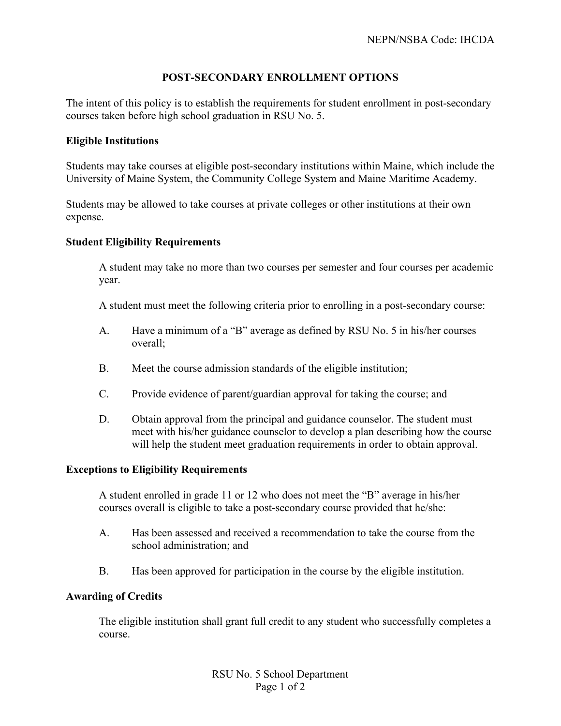# **POST-SECONDARY ENROLLMENT OPTIONS**

The intent of this policy is to establish the requirements for student enrollment in post-secondary courses taken before high school graduation in RSU No. 5.

## **Eligible Institutions**

Students may take courses at eligible post-secondary institutions within Maine, which include the University of Maine System, the Community College System and Maine Maritime Academy.

Students may be allowed to take courses at private colleges or other institutions at their own expense.

## **Student Eligibility Requirements**

A student may take no more than two courses per semester and four courses per academic year.

A student must meet the following criteria prior to enrolling in a post-secondary course:

- A. Have a minimum of a "B" average as defined by RSU No. 5 in his/her courses overall;
- B. Meet the course admission standards of the eligible institution;
- C. Provide evidence of parent/guardian approval for taking the course; and
- D. Obtain approval from the principal and guidance counselor. The student must meet with his/her guidance counselor to develop a plan describing how the course will help the student meet graduation requirements in order to obtain approval.

#### **Exceptions to Eligibility Requirements**

A student enrolled in grade 11 or 12 who does not meet the "B" average in his/her courses overall is eligible to take a post-secondary course provided that he/she:

- A. Has been assessed and received a recommendation to take the course from the school administration; and
- B. Has been approved for participation in the course by the eligible institution.

#### **Awarding of Credits**

The eligible institution shall grant full credit to any student who successfully completes a course.

> RSU No. 5 School Department Page 1 of 2